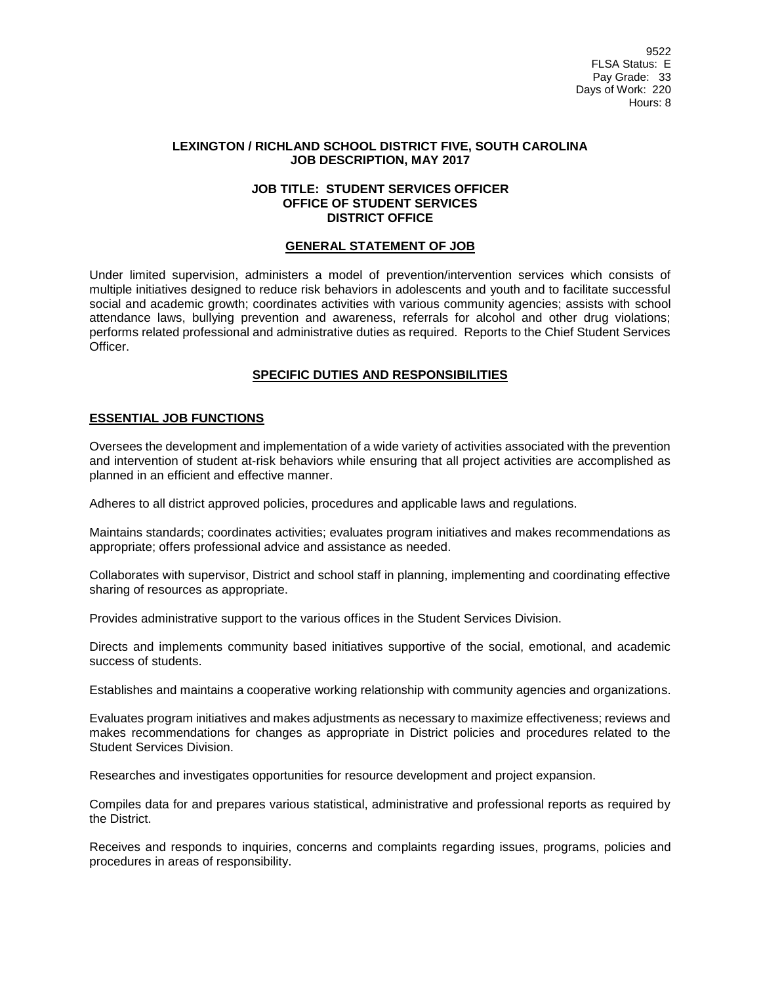9522 FLSA Status: E Pay Grade: 33 Days of Work: 220 Hours: 8

#### **LEXINGTON / RICHLAND SCHOOL DISTRICT FIVE, SOUTH CAROLINA JOB DESCRIPTION, MAY 2017**

#### **JOB TITLE: STUDENT SERVICES OFFICER OFFICE OF STUDENT SERVICES DISTRICT OFFICE**

#### **GENERAL STATEMENT OF JOB**

Under limited supervision, administers a model of prevention/intervention services which consists of multiple initiatives designed to reduce risk behaviors in adolescents and youth and to facilitate successful social and academic growth; coordinates activities with various community agencies; assists with school attendance laws, bullying prevention and awareness, referrals for alcohol and other drug violations; performs related professional and administrative duties as required. Reports to the Chief Student Services Officer.

### **SPECIFIC DUTIES AND RESPONSIBILITIES**

#### **ESSENTIAL JOB FUNCTIONS**

Oversees the development and implementation of a wide variety of activities associated with the prevention and intervention of student at-risk behaviors while ensuring that all project activities are accomplished as planned in an efficient and effective manner.

Adheres to all district approved policies, procedures and applicable laws and regulations.

Maintains standards; coordinates activities; evaluates program initiatives and makes recommendations as appropriate; offers professional advice and assistance as needed.

Collaborates with supervisor, District and school staff in planning, implementing and coordinating effective sharing of resources as appropriate.

Provides administrative support to the various offices in the Student Services Division.

Directs and implements community based initiatives supportive of the social, emotional, and academic success of students.

Establishes and maintains a cooperative working relationship with community agencies and organizations.

Evaluates program initiatives and makes adjustments as necessary to maximize effectiveness; reviews and makes recommendations for changes as appropriate in District policies and procedures related to the Student Services Division.

Researches and investigates opportunities for resource development and project expansion.

Compiles data for and prepares various statistical, administrative and professional reports as required by the District.

Receives and responds to inquiries, concerns and complaints regarding issues, programs, policies and procedures in areas of responsibility.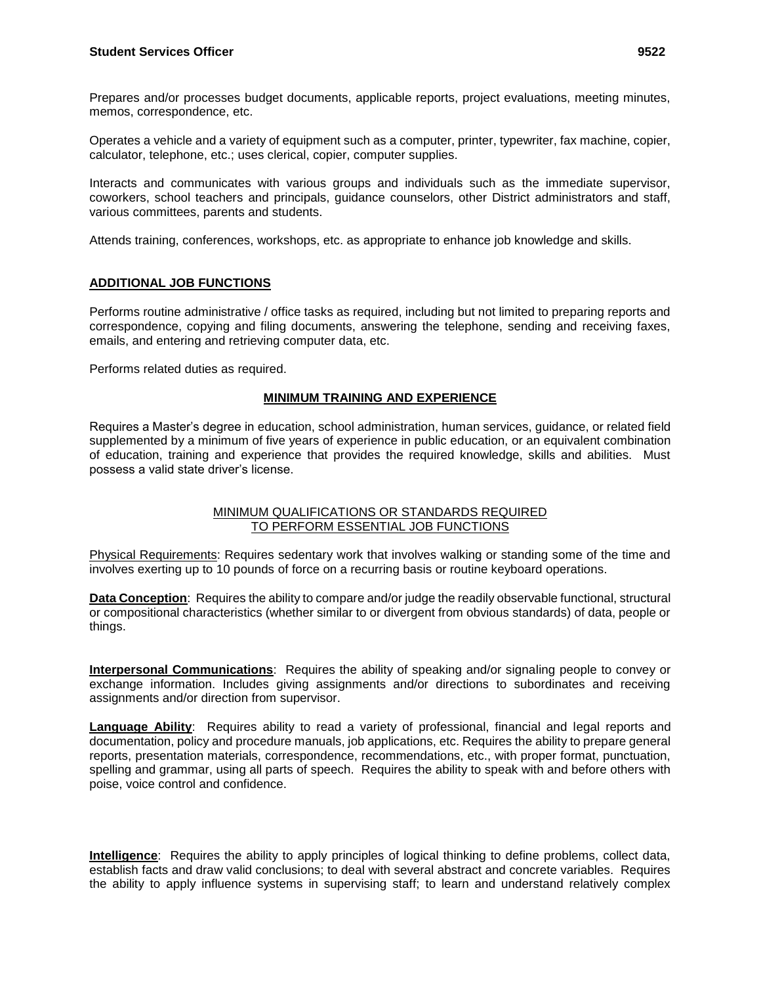Prepares and/or processes budget documents, applicable reports, project evaluations, meeting minutes, memos, correspondence, etc.

Operates a vehicle and a variety of equipment such as a computer, printer, typewriter, fax machine, copier, calculator, telephone, etc.; uses clerical, copier, computer supplies.

Interacts and communicates with various groups and individuals such as the immediate supervisor, coworkers, school teachers and principals, guidance counselors, other District administrators and staff, various committees, parents and students.

Attends training, conferences, workshops, etc. as appropriate to enhance job knowledge and skills.

# **ADDITIONAL JOB FUNCTIONS**

Performs routine administrative / office tasks as required, including but not limited to preparing reports and correspondence, copying and filing documents, answering the telephone, sending and receiving faxes, emails, and entering and retrieving computer data, etc.

Performs related duties as required.

# **MINIMUM TRAINING AND EXPERIENCE**

Requires a Master's degree in education, school administration, human services, guidance, or related field supplemented by a minimum of five years of experience in public education, or an equivalent combination of education, training and experience that provides the required knowledge, skills and abilities. Must possess a valid state driver's license.

### MINIMUM QUALIFICATIONS OR STANDARDS REQUIRED TO PERFORM ESSENTIAL JOB FUNCTIONS

Physical Requirements: Requires sedentary work that involves walking or standing some of the time and involves exerting up to 10 pounds of force on a recurring basis or routine keyboard operations.

**Data Conception**: Requires the ability to compare and/or judge the readily observable functional, structural or compositional characteristics (whether similar to or divergent from obvious standards) of data, people or things.

**Interpersonal Communications**: Requires the ability of speaking and/or signaling people to convey or exchange information. Includes giving assignments and/or directions to subordinates and receiving assignments and/or direction from supervisor.

**Language Ability**: Requires ability to read a variety of professional, financial and legal reports and documentation, policy and procedure manuals, job applications, etc. Requires the ability to prepare general reports, presentation materials, correspondence, recommendations, etc., with proper format, punctuation, spelling and grammar, using all parts of speech. Requires the ability to speak with and before others with poise, voice control and confidence.

**Intelligence**: Requires the ability to apply principles of logical thinking to define problems, collect data, establish facts and draw valid conclusions; to deal with several abstract and concrete variables. Requires the ability to apply influence systems in supervising staff; to learn and understand relatively complex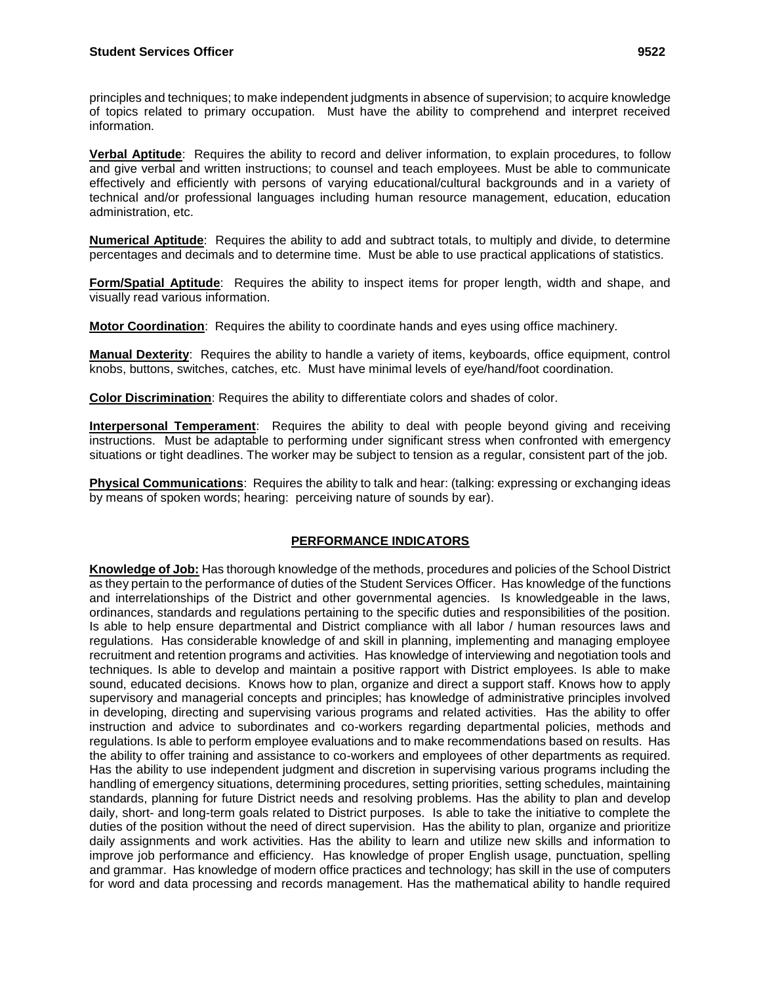principles and techniques; to make independent judgments in absence of supervision; to acquire knowledge of topics related to primary occupation. Must have the ability to comprehend and interpret received information.

**Verbal Aptitude**: Requires the ability to record and deliver information, to explain procedures, to follow and give verbal and written instructions; to counsel and teach employees. Must be able to communicate effectively and efficiently with persons of varying educational/cultural backgrounds and in a variety of technical and/or professional languages including human resource management, education, education administration, etc.

**Numerical Aptitude**: Requires the ability to add and subtract totals, to multiply and divide, to determine percentages and decimals and to determine time. Must be able to use practical applications of statistics.

**Form/Spatial Aptitude**: Requires the ability to inspect items for proper length, width and shape, and visually read various information.

**Motor Coordination**: Requires the ability to coordinate hands and eyes using office machinery.

**Manual Dexterity**: Requires the ability to handle a variety of items, keyboards, office equipment, control knobs, buttons, switches, catches, etc. Must have minimal levels of eye/hand/foot coordination.

**Color Discrimination**: Requires the ability to differentiate colors and shades of color.

**Interpersonal Temperament**: Requires the ability to deal with people beyond giving and receiving instructions. Must be adaptable to performing under significant stress when confronted with emergency situations or tight deadlines. The worker may be subject to tension as a regular, consistent part of the job.

**Physical Communications**: Requires the ability to talk and hear: (talking: expressing or exchanging ideas by means of spoken words; hearing: perceiving nature of sounds by ear).

## **PERFORMANCE INDICATORS**

**Knowledge of Job:** Has thorough knowledge of the methods, procedures and policies of the School District as they pertain to the performance of duties of the Student Services Officer. Has knowledge of the functions and interrelationships of the District and other governmental agencies. Is knowledgeable in the laws, ordinances, standards and regulations pertaining to the specific duties and responsibilities of the position. Is able to help ensure departmental and District compliance with all labor / human resources laws and regulations. Has considerable knowledge of and skill in planning, implementing and managing employee recruitment and retention programs and activities. Has knowledge of interviewing and negotiation tools and techniques. Is able to develop and maintain a positive rapport with District employees. Is able to make sound, educated decisions. Knows how to plan, organize and direct a support staff. Knows how to apply supervisory and managerial concepts and principles; has knowledge of administrative principles involved in developing, directing and supervising various programs and related activities. Has the ability to offer instruction and advice to subordinates and co-workers regarding departmental policies, methods and regulations. Is able to perform employee evaluations and to make recommendations based on results. Has the ability to offer training and assistance to co-workers and employees of other departments as required. Has the ability to use independent judgment and discretion in supervising various programs including the handling of emergency situations, determining procedures, setting priorities, setting schedules, maintaining standards, planning for future District needs and resolving problems. Has the ability to plan and develop daily, short- and long-term goals related to District purposes. Is able to take the initiative to complete the duties of the position without the need of direct supervision. Has the ability to plan, organize and prioritize daily assignments and work activities. Has the ability to learn and utilize new skills and information to improve job performance and efficiency. Has knowledge of proper English usage, punctuation, spelling and grammar. Has knowledge of modern office practices and technology; has skill in the use of computers for word and data processing and records management. Has the mathematical ability to handle required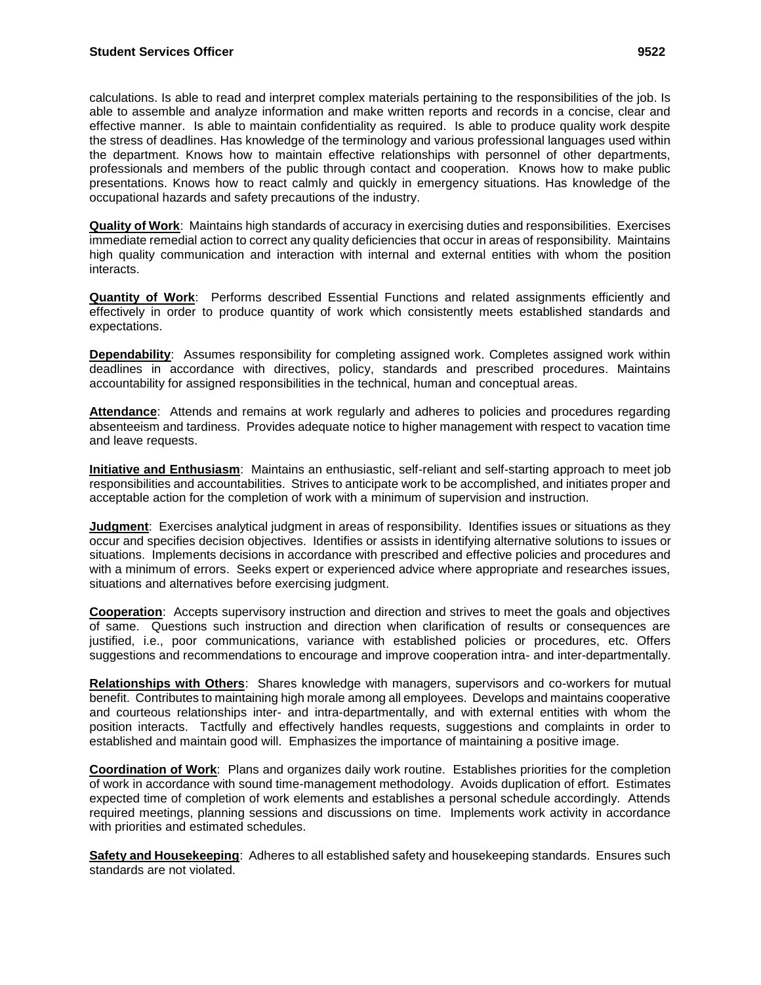calculations. Is able to read and interpret complex materials pertaining to the responsibilities of the job. Is able to assemble and analyze information and make written reports and records in a concise, clear and effective manner. Is able to maintain confidentiality as required. Is able to produce quality work despite the stress of deadlines. Has knowledge of the terminology and various professional languages used within the department. Knows how to maintain effective relationships with personnel of other departments, professionals and members of the public through contact and cooperation. Knows how to make public presentations. Knows how to react calmly and quickly in emergency situations. Has knowledge of the occupational hazards and safety precautions of the industry.

**Quality of Work**: Maintains high standards of accuracy in exercising duties and responsibilities. Exercises immediate remedial action to correct any quality deficiencies that occur in areas of responsibility. Maintains high quality communication and interaction with internal and external entities with whom the position interacts.

**Quantity of Work**: Performs described Essential Functions and related assignments efficiently and effectively in order to produce quantity of work which consistently meets established standards and expectations.

**Dependability**: Assumes responsibility for completing assigned work. Completes assigned work within deadlines in accordance with directives, policy, standards and prescribed procedures. Maintains accountability for assigned responsibilities in the technical, human and conceptual areas.

**Attendance**: Attends and remains at work regularly and adheres to policies and procedures regarding absenteeism and tardiness. Provides adequate notice to higher management with respect to vacation time and leave requests.

**Initiative and Enthusiasm**: Maintains an enthusiastic, self-reliant and self-starting approach to meet job responsibilities and accountabilities. Strives to anticipate work to be accomplished, and initiates proper and acceptable action for the completion of work with a minimum of supervision and instruction.

**Judgment**: Exercises analytical judgment in areas of responsibility. Identifies issues or situations as they occur and specifies decision objectives. Identifies or assists in identifying alternative solutions to issues or situations. Implements decisions in accordance with prescribed and effective policies and procedures and with a minimum of errors. Seeks expert or experienced advice where appropriate and researches issues, situations and alternatives before exercising judgment.

**Cooperation**: Accepts supervisory instruction and direction and strives to meet the goals and objectives of same. Questions such instruction and direction when clarification of results or consequences are justified, i.e., poor communications, variance with established policies or procedures, etc. Offers suggestions and recommendations to encourage and improve cooperation intra- and inter-departmentally.

**Relationships with Others**: Shares knowledge with managers, supervisors and co-workers for mutual benefit. Contributes to maintaining high morale among all employees. Develops and maintains cooperative and courteous relationships inter- and intra-departmentally, and with external entities with whom the position interacts. Tactfully and effectively handles requests, suggestions and complaints in order to established and maintain good will. Emphasizes the importance of maintaining a positive image.

**Coordination of Work**: Plans and organizes daily work routine. Establishes priorities for the completion of work in accordance with sound time-management methodology. Avoids duplication of effort. Estimates expected time of completion of work elements and establishes a personal schedule accordingly. Attends required meetings, planning sessions and discussions on time. Implements work activity in accordance with priorities and estimated schedules.

**Safety and Housekeeping**: Adheres to all established safety and housekeeping standards. Ensures such standards are not violated.